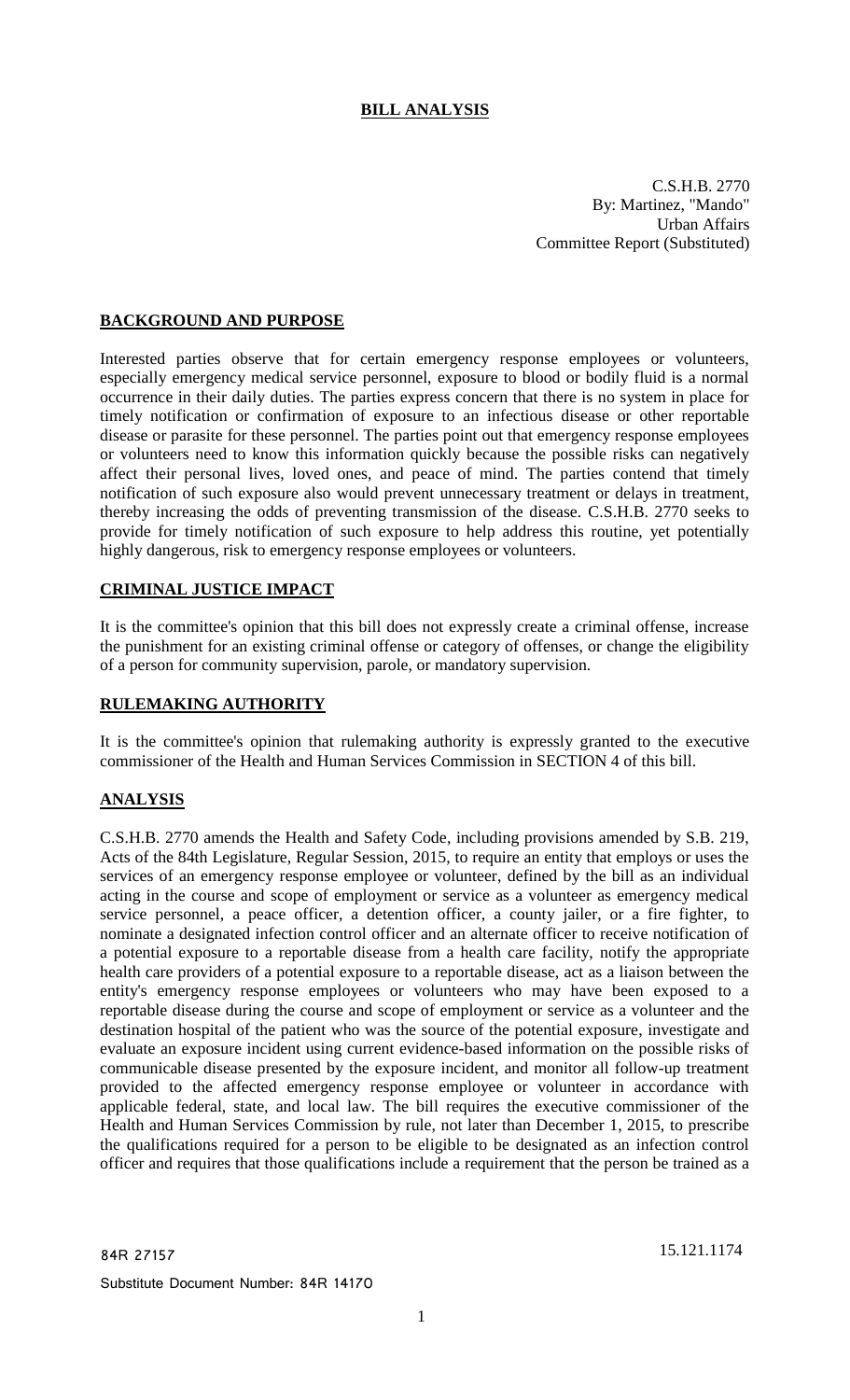# **BILL ANALYSIS**

C.S.H.B. 2770 By: Martinez, "Mando" Urban Affairs Committee Report (Substituted)

# **BACKGROUND AND PURPOSE**

Interested parties observe that for certain emergency response employees or volunteers, especially emergency medical service personnel, exposure to blood or bodily fluid is a normal occurrence in their daily duties. The parties express concern that there is no system in place for timely notification or confirmation of exposure to an infectious disease or other reportable disease or parasite for these personnel. The parties point out that emergency response employees or volunteers need to know this information quickly because the possible risks can negatively affect their personal lives, loved ones, and peace of mind. The parties contend that timely notification of such exposure also would prevent unnecessary treatment or delays in treatment, thereby increasing the odds of preventing transmission of the disease. C.S.H.B. 2770 seeks to provide for timely notification of such exposure to help address this routine, yet potentially highly dangerous, risk to emergency response employees or volunteers.

## **CRIMINAL JUSTICE IMPACT**

It is the committee's opinion that this bill does not expressly create a criminal offense, increase the punishment for an existing criminal offense or category of offenses, or change the eligibility of a person for community supervision, parole, or mandatory supervision.

#### **RULEMAKING AUTHORITY**

It is the committee's opinion that rulemaking authority is expressly granted to the executive commissioner of the Health and Human Services Commission in SECTION 4 of this bill.

# **ANALYSIS**

C.S.H.B. 2770 amends the Health and Safety Code, including provisions amended by S.B. 219, Acts of the 84th Legislature, Regular Session, 2015, to require an entity that employs or uses the services of an emergency response employee or volunteer, defined by the bill as an individual acting in the course and scope of employment or service as a volunteer as emergency medical service personnel, a peace officer, a detention officer, a county jailer, or a fire fighter, to nominate a designated infection control officer and an alternate officer to receive notification of a potential exposure to a reportable disease from a health care facility, notify the appropriate health care providers of a potential exposure to a reportable disease, act as a liaison between the entity's emergency response employees or volunteers who may have been exposed to a reportable disease during the course and scope of employment or service as a volunteer and the destination hospital of the patient who was the source of the potential exposure, investigate and evaluate an exposure incident using current evidence-based information on the possible risks of communicable disease presented by the exposure incident, and monitor all follow-up treatment provided to the affected emergency response employee or volunteer in accordance with applicable federal, state, and local law. The bill requires the executive commissioner of the Health and Human Services Commission by rule, not later than December 1, 2015, to prescribe the qualifications required for a person to be eligible to be designated as an infection control officer and requires that those qualifications include a requirement that the person be trained as a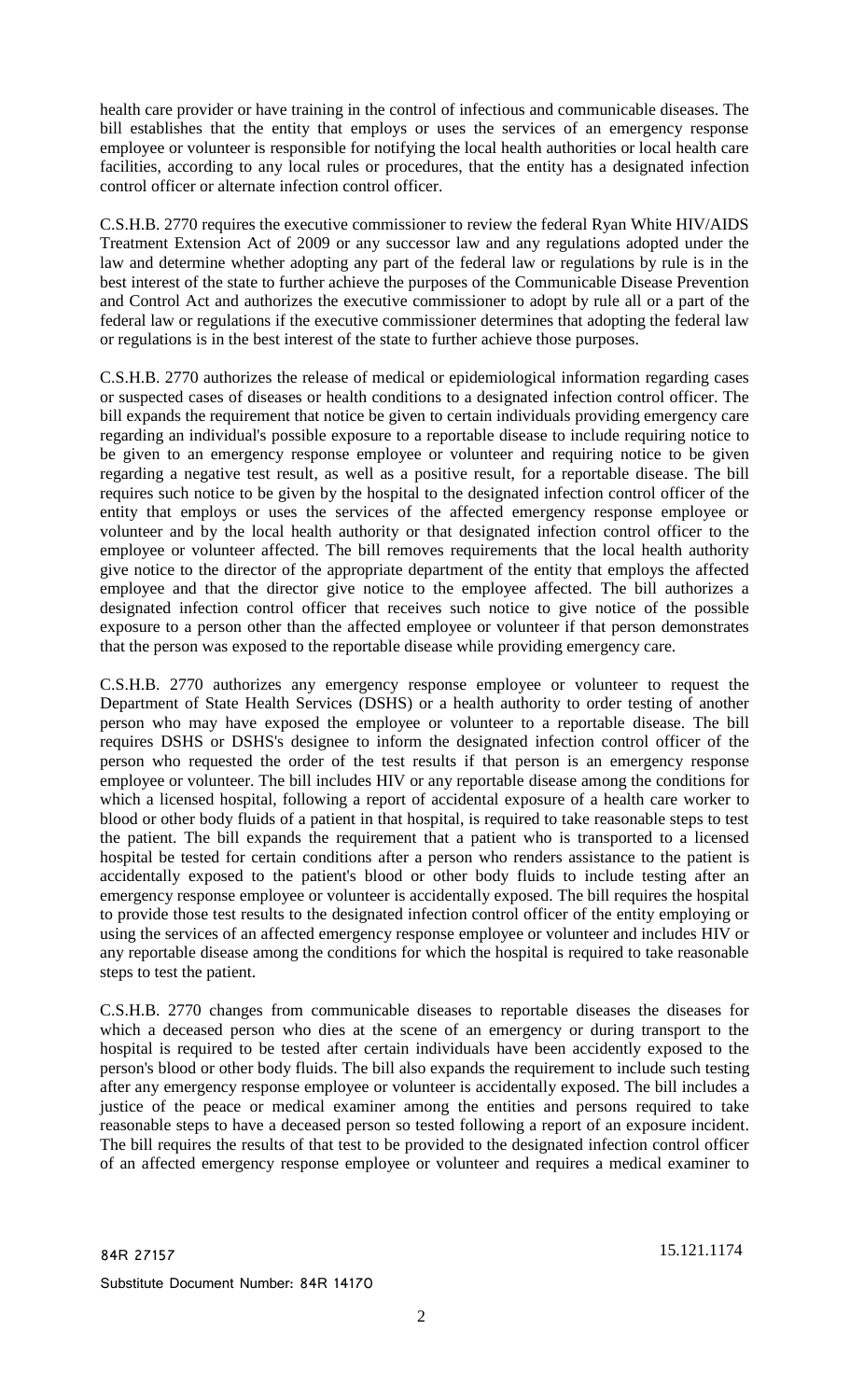health care provider or have training in the control of infectious and communicable diseases. The bill establishes that the entity that employs or uses the services of an emergency response employee or volunteer is responsible for notifying the local health authorities or local health care facilities, according to any local rules or procedures, that the entity has a designated infection control officer or alternate infection control officer.

C.S.H.B. 2770 requires the executive commissioner to review the federal Ryan White HIV/AIDS Treatment Extension Act of 2009 or any successor law and any regulations adopted under the law and determine whether adopting any part of the federal law or regulations by rule is in the best interest of the state to further achieve the purposes of the Communicable Disease Prevention and Control Act and authorizes the executive commissioner to adopt by rule all or a part of the federal law or regulations if the executive commissioner determines that adopting the federal law or regulations is in the best interest of the state to further achieve those purposes.

C.S.H.B. 2770 authorizes the release of medical or epidemiological information regarding cases or suspected cases of diseases or health conditions to a designated infection control officer. The bill expands the requirement that notice be given to certain individuals providing emergency care regarding an individual's possible exposure to a reportable disease to include requiring notice to be given to an emergency response employee or volunteer and requiring notice to be given regarding a negative test result, as well as a positive result, for a reportable disease. The bill requires such notice to be given by the hospital to the designated infection control officer of the entity that employs or uses the services of the affected emergency response employee or volunteer and by the local health authority or that designated infection control officer to the employee or volunteer affected. The bill removes requirements that the local health authority give notice to the director of the appropriate department of the entity that employs the affected employee and that the director give notice to the employee affected. The bill authorizes a designated infection control officer that receives such notice to give notice of the possible exposure to a person other than the affected employee or volunteer if that person demonstrates that the person was exposed to the reportable disease while providing emergency care.

C.S.H.B. 2770 authorizes any emergency response employee or volunteer to request the Department of State Health Services (DSHS) or a health authority to order testing of another person who may have exposed the employee or volunteer to a reportable disease. The bill requires DSHS or DSHS's designee to inform the designated infection control officer of the person who requested the order of the test results if that person is an emergency response employee or volunteer. The bill includes HIV or any reportable disease among the conditions for which a licensed hospital, following a report of accidental exposure of a health care worker to blood or other body fluids of a patient in that hospital, is required to take reasonable steps to test the patient. The bill expands the requirement that a patient who is transported to a licensed hospital be tested for certain conditions after a person who renders assistance to the patient is accidentally exposed to the patient's blood or other body fluids to include testing after an emergency response employee or volunteer is accidentally exposed. The bill requires the hospital to provide those test results to the designated infection control officer of the entity employing or using the services of an affected emergency response employee or volunteer and includes HIV or any reportable disease among the conditions for which the hospital is required to take reasonable steps to test the patient.

C.S.H.B. 2770 changes from communicable diseases to reportable diseases the diseases for which a deceased person who dies at the scene of an emergency or during transport to the hospital is required to be tested after certain individuals have been accidently exposed to the person's blood or other body fluids. The bill also expands the requirement to include such testing after any emergency response employee or volunteer is accidentally exposed. The bill includes a justice of the peace or medical examiner among the entities and persons required to take reasonable steps to have a deceased person so tested following a report of an exposure incident. The bill requires the results of that test to be provided to the designated infection control officer of an affected emergency response employee or volunteer and requires a medical examiner to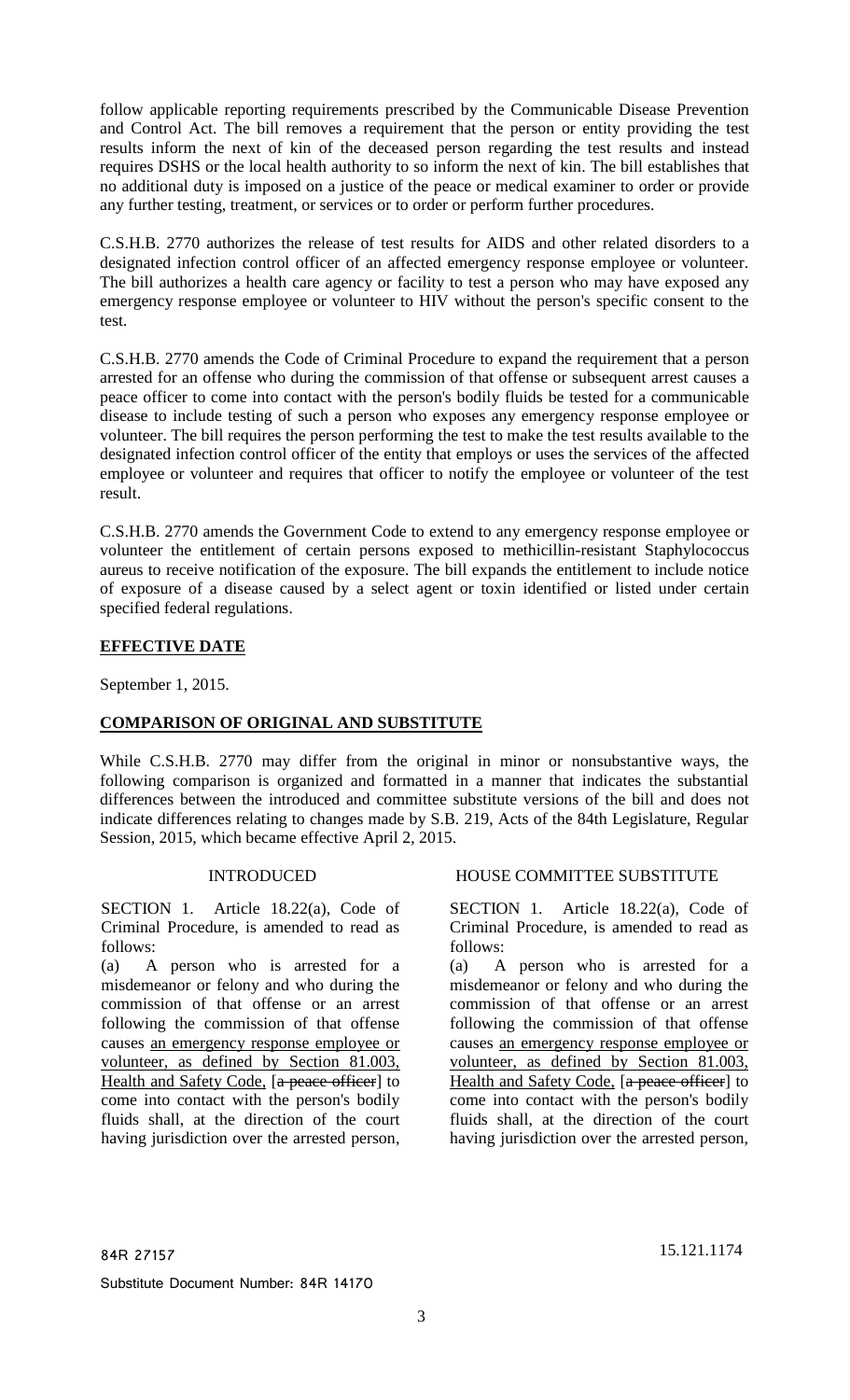follow applicable reporting requirements prescribed by the Communicable Disease Prevention and Control Act. The bill removes a requirement that the person or entity providing the test results inform the next of kin of the deceased person regarding the test results and instead requires DSHS or the local health authority to so inform the next of kin. The bill establishes that no additional duty is imposed on a justice of the peace or medical examiner to order or provide any further testing, treatment, or services or to order or perform further procedures.

C.S.H.B. 2770 authorizes the release of test results for AIDS and other related disorders to a designated infection control officer of an affected emergency response employee or volunteer. The bill authorizes a health care agency or facility to test a person who may have exposed any emergency response employee or volunteer to HIV without the person's specific consent to the test.

C.S.H.B. 2770 amends the Code of Criminal Procedure to expand the requirement that a person arrested for an offense who during the commission of that offense or subsequent arrest causes a peace officer to come into contact with the person's bodily fluids be tested for a communicable disease to include testing of such a person who exposes any emergency response employee or volunteer. The bill requires the person performing the test to make the test results available to the designated infection control officer of the entity that employs or uses the services of the affected employee or volunteer and requires that officer to notify the employee or volunteer of the test result.

C.S.H.B. 2770 amends the Government Code to extend to any emergency response employee or volunteer the entitlement of certain persons exposed to methicillin-resistant Staphylococcus aureus to receive notification of the exposure. The bill expands the entitlement to include notice of exposure of a disease caused by a select agent or toxin identified or listed under certain specified federal regulations.

# **EFFECTIVE DATE**

September 1, 2015.

## **COMPARISON OF ORIGINAL AND SUBSTITUTE**

While C.S.H.B. 2770 may differ from the original in minor or nonsubstantive ways, the following comparison is organized and formatted in a manner that indicates the substantial differences between the introduced and committee substitute versions of the bill and does not indicate differences relating to changes made by S.B. 219, Acts of the 84th Legislature, Regular Session, 2015, which became effective April 2, 2015.

SECTION 1. Article 18.22(a), Code of Criminal Procedure, is amended to read as follows:

(a) A person who is arrested for a misdemeanor or felony and who during the commission of that offense or an arrest following the commission of that offense causes an emergency response employee or volunteer, as defined by Section 81.003, Health and Safety Code, [a peace officer] to come into contact with the person's bodily fluids shall, at the direction of the court having jurisdiction over the arrested person,

## INTRODUCED HOUSE COMMITTEE SUBSTITUTE

SECTION 1. Article 18.22(a), Code of Criminal Procedure, is amended to read as follows:

(a) A person who is arrested for a misdemeanor or felony and who during the commission of that offense or an arrest following the commission of that offense causes an emergency response employee or volunteer, as defined by Section 81.003, Health and Safety Code, [a peace officer] to come into contact with the person's bodily fluids shall, at the direction of the court having jurisdiction over the arrested person,

84R 27157 15.121.1174

Substitute Document Number: 84R 14170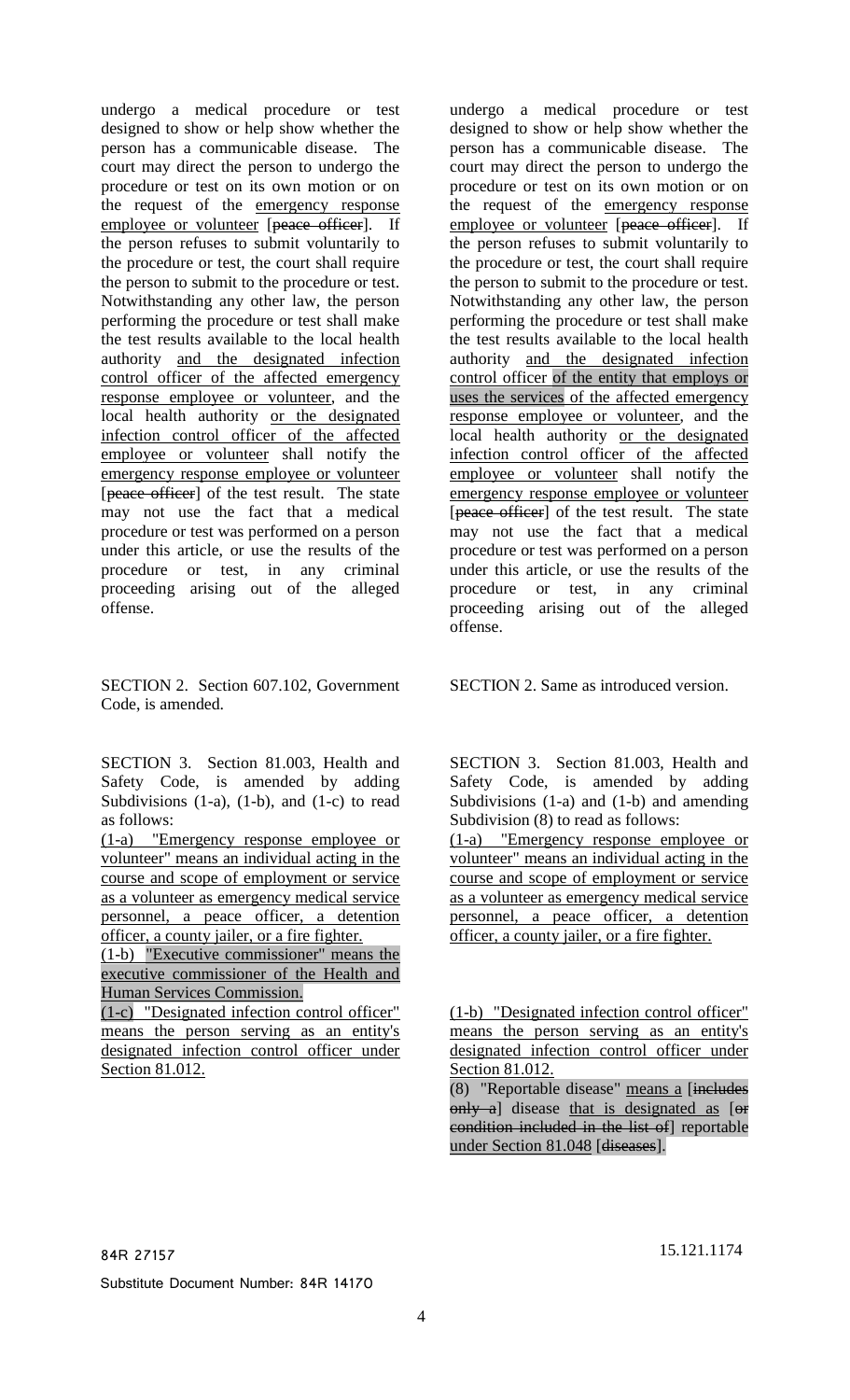undergo a medical procedure or test designed to show or help show whether the person has a communicable disease. The court may direct the person to undergo the procedure or test on its own motion or on the request of the emergency response employee or volunteer [peace officer]. If the person refuses to submit voluntarily to the procedure or test, the court shall require the person to submit to the procedure or test. Notwithstanding any other law, the person performing the procedure or test shall make the test results available to the local health authority and the designated infection control officer of the affected emergency response employee or volunteer, and the local health authority or the designated infection control officer of the affected employee or volunteer shall notify the emergency response employee or volunteer [peace officer] of the test result. The state may not use the fact that a medical procedure or test was performed on a person under this article, or use the results of the procedure or test, in any criminal proceeding arising out of the alleged offense.

SECTION 2. Section 607.102, Government Code, is amended.

SECTION 3. Section 81.003, Health and Safety Code, is amended by adding Subdivisions  $(1-a)$ ,  $(1-b)$ , and  $(1-c)$  to read as follows:

(1-a) "Emergency response employee or volunteer" means an individual acting in the course and scope of employment or service as a volunteer as emergency medical service personnel, a peace officer, a detention officer, a county jailer, or a fire fighter.

(1-b) "Executive commissioner" means the executive commissioner of the Health and Human Services Commission.

(1-c) "Designated infection control officer" means the person serving as an entity's designated infection control officer under Section 81.012.

undergo a medical procedure or test designed to show or help show whether the person has a communicable disease. The court may direct the person to undergo the procedure or test on its own motion or on the request of the emergency response employee or volunteer [peace officer]. If the person refuses to submit voluntarily to the procedure or test, the court shall require the person to submit to the procedure or test. Notwithstanding any other law, the person performing the procedure or test shall make the test results available to the local health authority and the designated infection control officer of the entity that employs or uses the services of the affected emergency response employee or volunteer, and the local health authority or the designated infection control officer of the affected employee or volunteer shall notify the emergency response employee or volunteer [peace officer] of the test result. The state may not use the fact that a medical procedure or test was performed on a person under this article, or use the results of the procedure or test, in any criminal proceeding arising out of the alleged offense.

SECTION 2. Same as introduced version.

SECTION 3. Section 81.003, Health and Safety Code, is amended by adding Subdivisions (1-a) and (1-b) and amending Subdivision (8) to read as follows:

(1-a) "Emergency response employee or volunteer" means an individual acting in the course and scope of employment or service as a volunteer as emergency medical service personnel, a peace officer, a detention officer, a county jailer, or a fire fighter.

(1-b) "Designated infection control officer" means the person serving as an entity's designated infection control officer under Section 81.012.

(8) "Reportable disease" means a [includes only a] disease that is designated as [or condition included in the list of] reportable under Section 81.048 [diseases].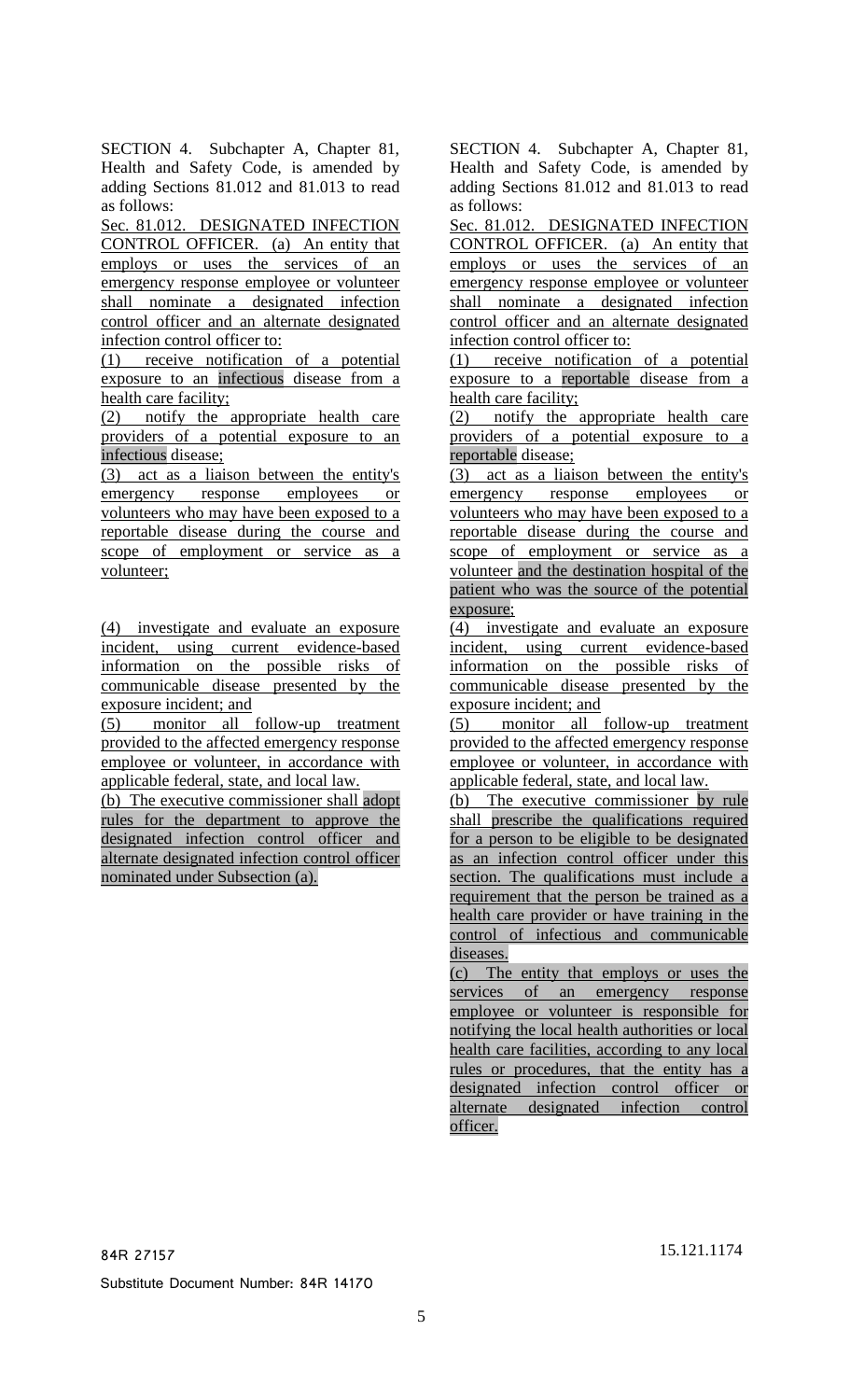SECTION 4. Subchapter A, Chapter 81, Health and Safety Code, is amended by adding Sections 81.012 and 81.013 to read as follows:

Sec. 81.012. DESIGNATED INFECTION CONTROL OFFICER. (a) An entity that employs or uses the services of an emergency response employee or volunteer shall nominate a designated infection control officer and an alternate designated infection control officer to:

(1) receive notification of a potential exposure to an infectious disease from a health care facility;

(2) notify the appropriate health care providers of a potential exposure to an infectious disease;

(3) act as a liaison between the entity's emergency response employees or volunteers who may have been exposed to a reportable disease during the course and scope of employment or service as a volunteer;

(4) investigate and evaluate an exposure incident, using current evidence-based information on the possible risks of communicable disease presented by the exposure incident; and

(5) monitor all follow-up treatment provided to the affected emergency response employee or volunteer, in accordance with applicable federal, state, and local law.

(b) The executive commissioner shall adopt rules for the department to approve the designated infection control officer and alternate designated infection control officer nominated under Subsection (a).

SECTION 4. Subchapter A, Chapter 81, Health and Safety Code, is amended by adding Sections 81.012 and 81.013 to read as follows:

Sec. 81.012. DESIGNATED INFECTION CONTROL OFFICER. (a) An entity that employs or uses the services of an emergency response employee or volunteer shall nominate a designated infection control officer and an alternate designated infection control officer to:

(1) receive notification of a potential exposure to a reportable disease from a health care facility;

(2) notify the appropriate health care providers of a potential exposure to a reportable disease;

(3) act as a liaison between the entity's emergency response employees or volunteers who may have been exposed to a reportable disease during the course and scope of employment or service as a volunteer and the destination hospital of the patient who was the source of the potential exposure;

(4) investigate and evaluate an exposure incident, using current evidence-based information on the possible risks of communicable disease presented by the exposure incident; and

(5) monitor all follow-up treatment provided to the affected emergency response employee or volunteer, in accordance with applicable federal, state, and local law.

(b) The executive commissioner by rule shall prescribe the qualifications required for a person to be eligible to be designated as an infection control officer under this section. The qualifications must include a requirement that the person be trained as a health care provider or have training in the control of infectious and communicable diseases.

(c) The entity that employs or uses the services of an emergency response employee or volunteer is responsible for notifying the local health authorities or local health care facilities, according to any local rules or procedures, that the entity has a designated infection control officer or alternate designated infection control officer.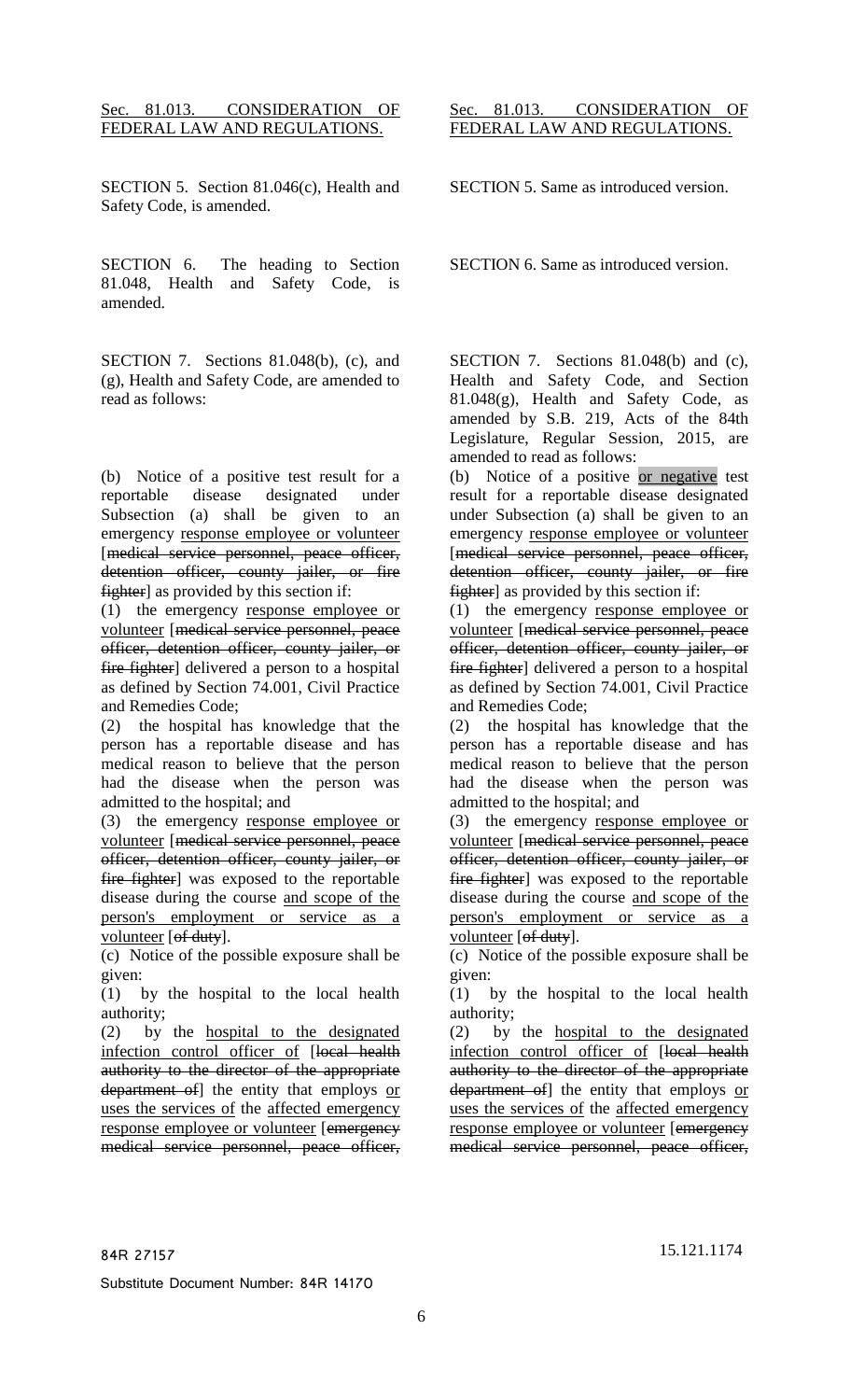#### Sec. 81.013. CONSIDERATION OF FEDERAL LAW AND REGULATIONS.

SECTION 5. Section 81.046(c), Health and Safety Code, is amended.

SECTION 6. The heading to Section 81.048, Health and Safety Code, is amended.

SECTION 7. Sections 81.048(b), (c), and (g), Health and Safety Code, are amended to read as follows:

(b) Notice of a positive test result for a reportable disease designated under Subsection (a) shall be given to an emergency response employee or volunteer [medical service personnel, peace officer, detention officer, county jailer, or fire fighter] as provided by this section if:

(1) the emergency response employee or volunteer [medical service personnel, peace officer, detention officer, county jailer, or fire fighter] delivered a person to a hospital as defined by Section 74.001, Civil Practice and Remedies Code;

(2) the hospital has knowledge that the person has a reportable disease and has medical reason to believe that the person had the disease when the person was admitted to the hospital; and

(3) the emergency response employee or volunteer [medical service personnel, peace officer, detention officer, county jailer, or fire fighter] was exposed to the reportable disease during the course and scope of the person's employment or service as a volunteer [of duty].

(c) Notice of the possible exposure shall be given:

(1) by the hospital to the local health authority;

(2) by the hospital to the designated infection control officer of [local health authority to the director of the appropriate department of] the entity that employs or uses the services of the affected emergency response employee or volunteer [emergency medical service personnel, peace officer,

#### Sec. 81.013. CONSIDERATION OF FEDERAL LAW AND REGULATIONS.

SECTION 5. Same as introduced version.

SECTION 6. Same as introduced version.

SECTION 7. Sections 81.048(b) and (c), Health and Safety Code, and Section 81.048(g), Health and Safety Code, as amended by S.B. 219, Acts of the 84th Legislature, Regular Session, 2015, are amended to read as follows:

(b) Notice of a positive or negative test result for a reportable disease designated under Subsection (a) shall be given to an emergency response employee or volunteer [medical service personnel, peace officer, detention officer, county jailer, or fire **fighter** as provided by this section if:

(1) the emergency response employee or volunteer [medical service personnel, peace officer, detention officer, county jailer, or fire fighter] delivered a person to a hospital as defined by Section 74.001, Civil Practice and Remedies Code;

(2) the hospital has knowledge that the person has a reportable disease and has medical reason to believe that the person had the disease when the person was admitted to the hospital; and

(3) the emergency response employee or volunteer [medical service personnel, peace officer, detention officer, county jailer, or fire fighter] was exposed to the reportable disease during the course and scope of the person's employment or service as a volunteer [of duty].

(c) Notice of the possible exposure shall be given:

(1) by the hospital to the local health authority;

(2) by the hospital to the designated infection control officer of [local health authority to the director of the appropriate department of the entity that employs or uses the services of the affected emergency response employee or volunteer [emergency] medical service personnel, peace officer,

Substitute Document Number: 84R 14170

84R 27157 15.121.1174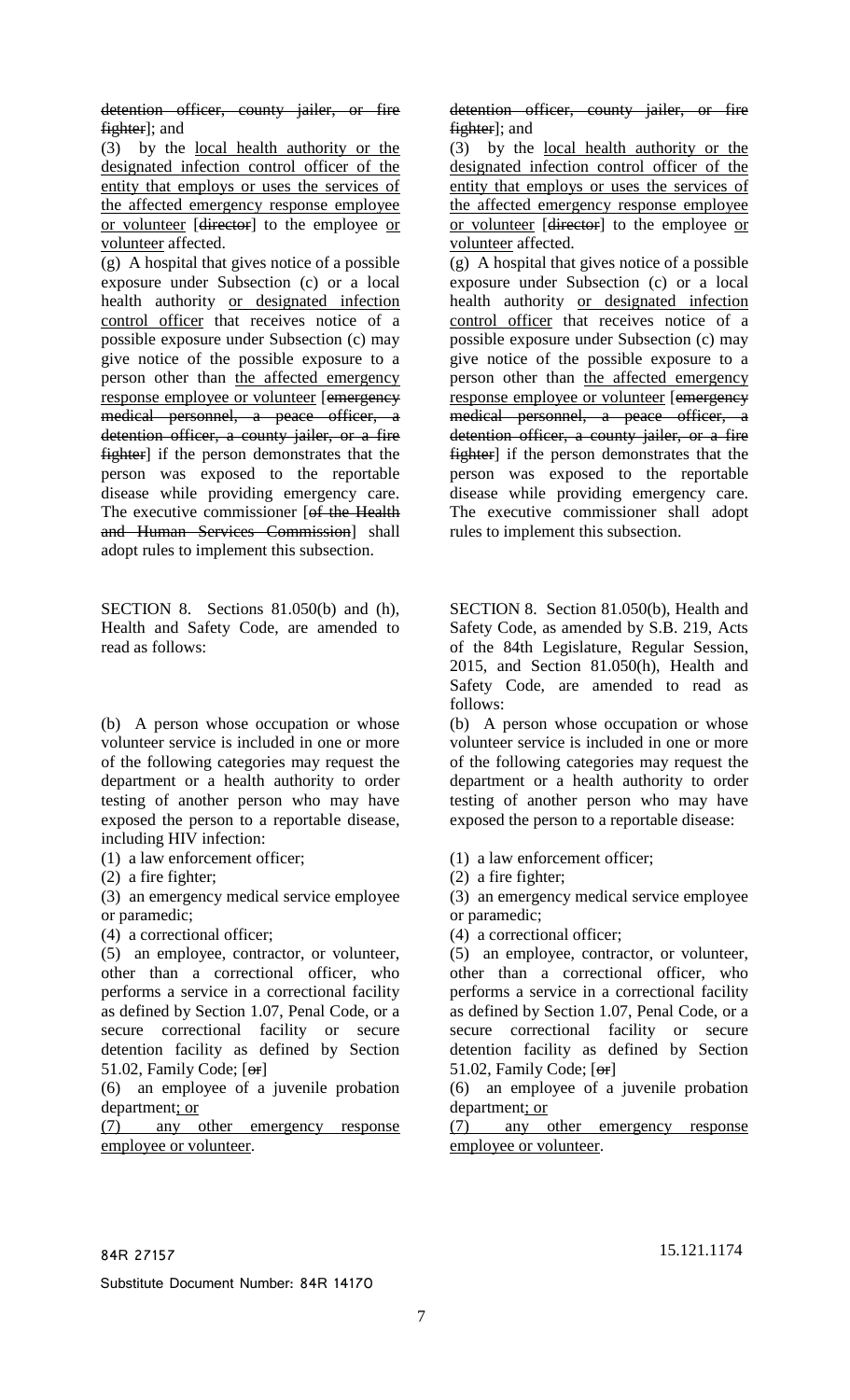detention officer, county jailer, or fire fighter]; and

(3) by the local health authority or the designated infection control officer of the entity that employs or uses the services of the affected emergency response employee or volunteer [director] to the employee or volunteer affected.

(g) A hospital that gives notice of a possible exposure under Subsection (c) or a local health authority or designated infection control officer that receives notice of a possible exposure under Subsection (c) may give notice of the possible exposure to a person other than the affected emergency response employee or volunteer [emergency medical personnel, a peace officer, a detention officer, a county jailer, or a fire fighter] if the person demonstrates that the person was exposed to the reportable disease while providing emergency care. The executive commissioner [of the Health and Human Services Commission] shall adopt rules to implement this subsection.

SECTION 8. Sections 81.050(b) and (h), Health and Safety Code, are amended to read as follows:

(b) A person whose occupation or whose volunteer service is included in one or more of the following categories may request the department or a health authority to order testing of another person who may have exposed the person to a reportable disease, including HIV infection:

(1) a law enforcement officer;

(2) a fire fighter;

(3) an emergency medical service employee or paramedic;

(4) a correctional officer;

(5) an employee, contractor, or volunteer, other than a correctional officer, who performs a service in a correctional facility as defined by Section 1.07, Penal Code, or a secure correctional facility or secure detention facility as defined by Section 51.02, Family Code;  $[<sub>of</sub>]$ 

(6) an employee of a juvenile probation department; or

(7) any other emergency response employee or volunteer.

detention officer, county jailer, or fire fighter]; and

(3) by the local health authority or the designated infection control officer of the entity that employs or uses the services of the affected emergency response employee or volunteer [director] to the employee or volunteer affected.

(g) A hospital that gives notice of a possible exposure under Subsection (c) or a local health authority or designated infection control officer that receives notice of a possible exposure under Subsection (c) may give notice of the possible exposure to a person other than the affected emergency response employee or volunteer [emergency medical personnel, a peace officer, a detention officer, a county jailer, or a fire fighter] if the person demonstrates that the person was exposed to the reportable disease while providing emergency care. The executive commissioner shall adopt rules to implement this subsection.

SECTION 8. Section 81.050(b), Health and Safety Code, as amended by S.B. 219, Acts of the 84th Legislature, Regular Session, 2015, and Section 81.050(h), Health and Safety Code, are amended to read as follows:

(b) A person whose occupation or whose volunteer service is included in one or more of the following categories may request the department or a health authority to order testing of another person who may have exposed the person to a reportable disease:

- (1) a law enforcement officer;
- (2) a fire fighter;

(3) an emergency medical service employee or paramedic;

(4) a correctional officer;

(5) an employee, contractor, or volunteer, other than a correctional officer, who performs a service in a correctional facility as defined by Section 1.07, Penal Code, or a secure correctional facility or secure detention facility as defined by Section 51.02, Family Code;  $[<sub>of</sub>]$ 

(6) an employee of a juvenile probation department; or

(7) any other emergency response employee or volunteer.

Substitute Document Number: 84R 14170

84R 27157 15.121.1174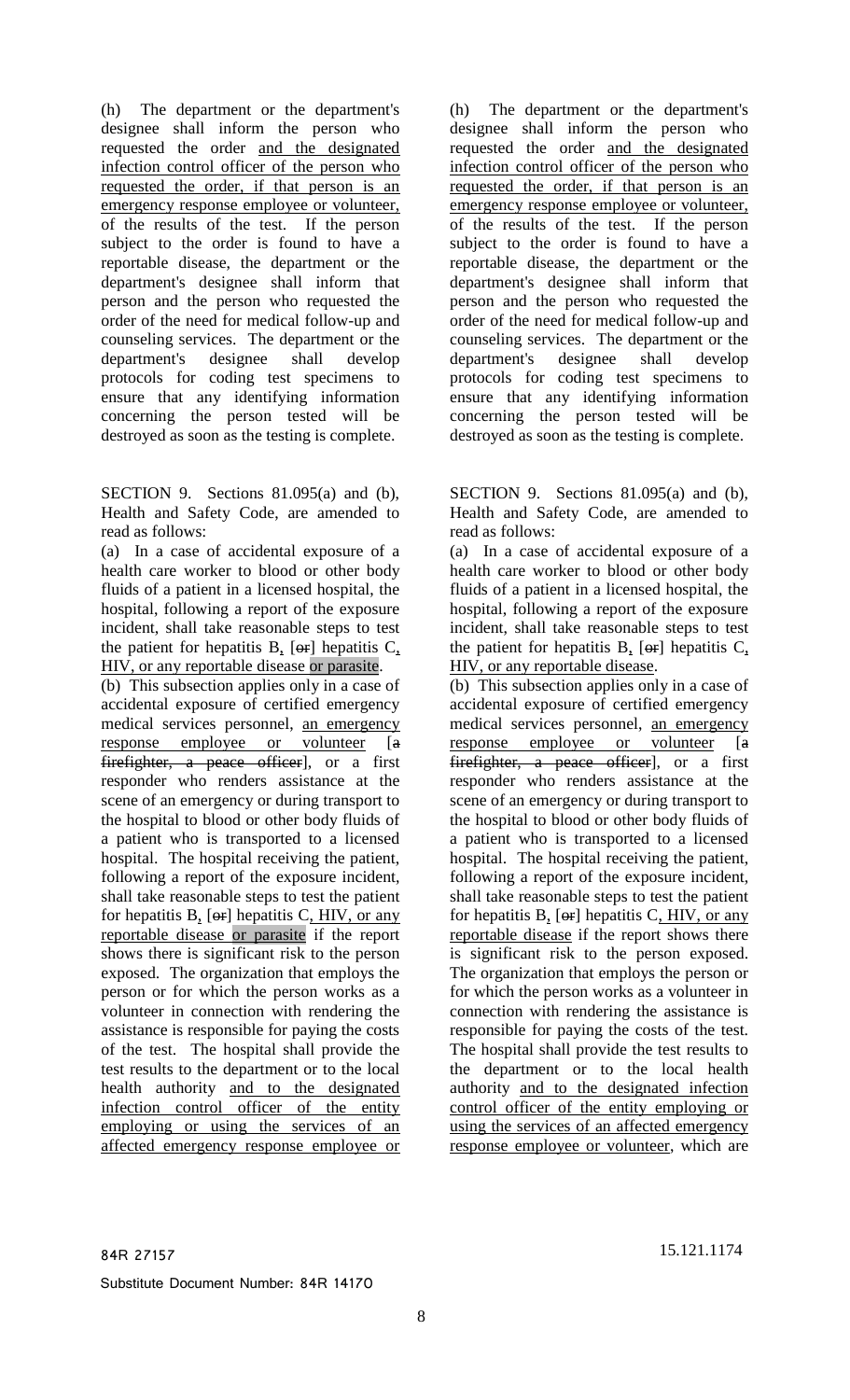(h) The department or the department's designee shall inform the person who requested the order and the designated infection control officer of the person who requested the order, if that person is an emergency response employee or volunteer, of the results of the test. If the person subject to the order is found to have a reportable disease, the department or the department's designee shall inform that person and the person who requested the order of the need for medical follow-up and counseling services. The department or the department's designee shall develop protocols for coding test specimens to ensure that any identifying information concerning the person tested will be destroyed as soon as the testing is complete.

SECTION 9. Sections 81.095(a) and (b), Health and Safety Code, are amended to read as follows:

(a) In a case of accidental exposure of a health care worker to blood or other body fluids of a patient in a licensed hospital, the hospital, following a report of the exposure incident, shall take reasonable steps to test the patient for hepatitis  $B_1$  [ $\Theta$ r] hepatitis  $C_2$ , HIV, or any reportable disease or parasite.

(b) This subsection applies only in a case of accidental exposure of certified emergency medical services personnel, an emergency response employee or volunteer [a] firefighter, a peace officer], or a first responder who renders assistance at the scene of an emergency or during transport to the hospital to blood or other body fluids of a patient who is transported to a licensed hospital. The hospital receiving the patient, following a report of the exposure incident, shall take reasonable steps to test the patient for hepatitis B, [or] hepatitis C, HIV, or any reportable disease or parasite if the report shows there is significant risk to the person exposed. The organization that employs the person or for which the person works as a volunteer in connection with rendering the assistance is responsible for paying the costs of the test. The hospital shall provide the test results to the department or to the local health authority and to the designated infection control officer of the entity employing or using the services of an affected emergency response employee or

(h) The department or the department's designee shall inform the person who requested the order and the designated infection control officer of the person who requested the order, if that person is an emergency response employee or volunteer, of the results of the test. If the person subject to the order is found to have a reportable disease, the department or the department's designee shall inform that person and the person who requested the order of the need for medical follow-up and counseling services. The department or the department's designee shall develop protocols for coding test specimens to ensure that any identifying information concerning the person tested will be destroyed as soon as the testing is complete.

SECTION 9. Sections 81.095(a) and (b), Health and Safety Code, are amended to read as follows:

(a) In a case of accidental exposure of a health care worker to blood or other body fluids of a patient in a licensed hospital, the hospital, following a report of the exposure incident, shall take reasonable steps to test the patient for hepatitis B,  $[ $\Theta$ r hepatitis C,$ HIV, or any reportable disease.

(b) This subsection applies only in a case of accidental exposure of certified emergency medical services personnel, an emergency response employee or volunteer [a] firefighter, a peace officer], or a first responder who renders assistance at the scene of an emergency or during transport to the hospital to blood or other body fluids of a patient who is transported to a licensed hospital. The hospital receiving the patient, following a report of the exposure incident, shall take reasonable steps to test the patient for hepatitis  $B_1$  [ $\Theta$ r] hepatitis C, HIV, or any reportable disease if the report shows there is significant risk to the person exposed. The organization that employs the person or for which the person works as a volunteer in connection with rendering the assistance is responsible for paying the costs of the test. The hospital shall provide the test results to the department or to the local health authority and to the designated infection control officer of the entity employing or using the services of an affected emergency response employee or volunteer, which are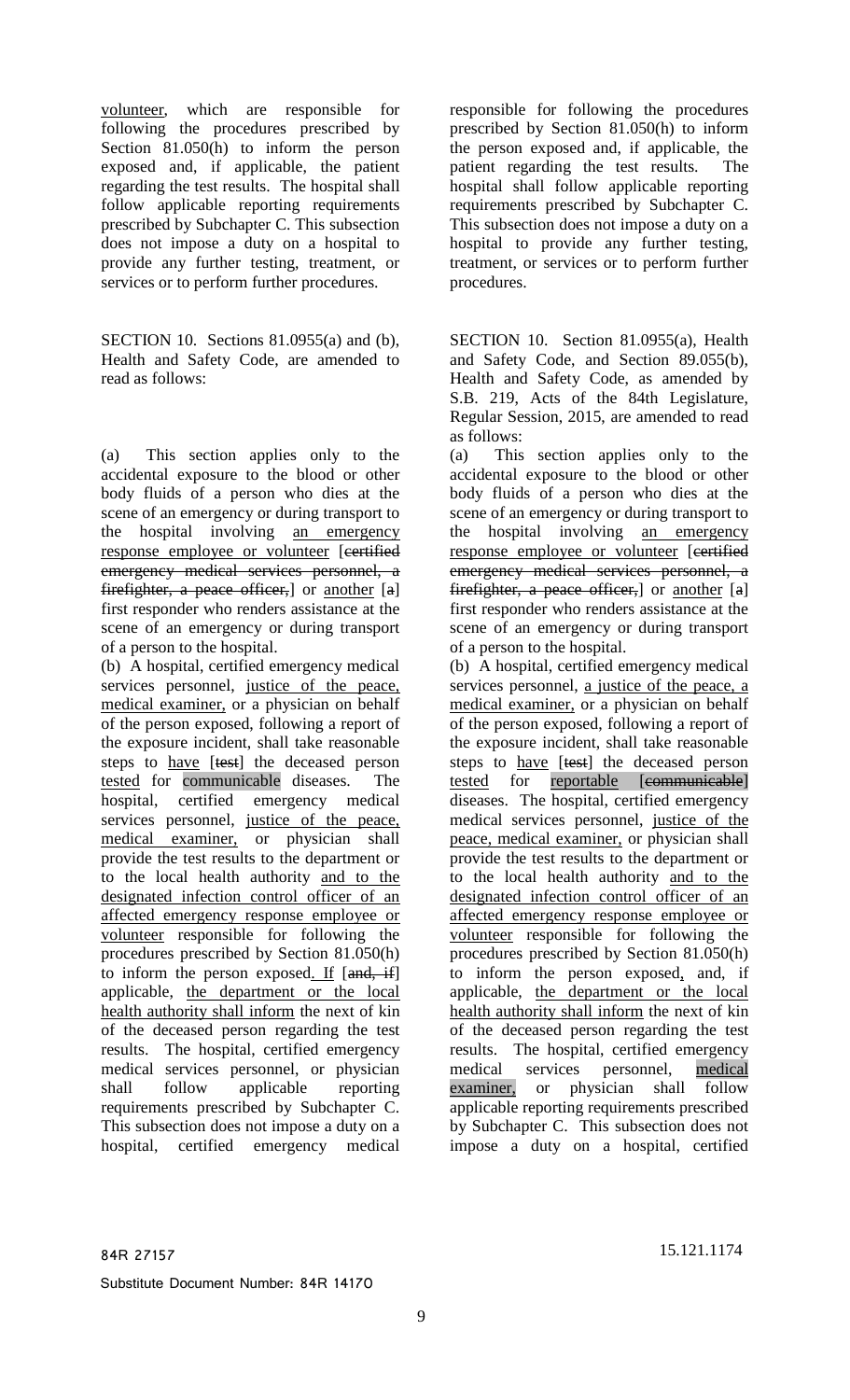volunteer, which are responsible for following the procedures prescribed by Section 81.050(h) to inform the person exposed and, if applicable, the patient regarding the test results. The hospital shall follow applicable reporting requirements prescribed by Subchapter C. This subsection does not impose a duty on a hospital to provide any further testing, treatment, or services or to perform further procedures.

SECTION 10. Sections 81.0955(a) and (b), Health and Safety Code, are amended to read as follows:

(a) This section applies only to the accidental exposure to the blood or other body fluids of a person who dies at the scene of an emergency or during transport to the hospital involving an emergency response employee or volunteer [eertified] emergency medical services personnel, a firefighter, a peace officer, or another  $[a]$ first responder who renders assistance at the scene of an emergency or during transport of a person to the hospital.

(b) A hospital, certified emergency medical services personnel, justice of the peace, medical examiner, or a physician on behalf of the person exposed, following a report of the exposure incident, shall take reasonable steps to have [test] the deceased person tested for communicable diseases. The hospital, certified emergency medical services personnel, justice of the peace, medical examiner, or physician shall provide the test results to the department or to the local health authority and to the designated infection control officer of an affected emergency response employee or volunteer responsible for following the procedures prescribed by Section 81.050(h) to inform the person exposed. If  $[and, if]$ applicable, the department or the local health authority shall inform the next of kin of the deceased person regarding the test results. The hospital, certified emergency medical services personnel, or physician shall follow applicable reporting requirements prescribed by Subchapter C. This subsection does not impose a duty on a hospital, certified emergency medical responsible for following the procedures prescribed by Section 81.050(h) to inform the person exposed and, if applicable, the patient regarding the test results. The hospital shall follow applicable reporting requirements prescribed by Subchapter C. This subsection does not impose a duty on a hospital to provide any further testing, treatment, or services or to perform further procedures.

SECTION 10. Section 81.0955(a), Health and Safety Code, and Section 89.055(b), Health and Safety Code, as amended by S.B. 219, Acts of the 84th Legislature, Regular Session, 2015, are amended to read as follows:

(a) This section applies only to the accidental exposure to the blood or other body fluids of a person who dies at the scene of an emergency or during transport to the hospital involving an emergency response employee or volunteer [eertified] emergency medical services personnel, a fire fighter, a peace officer, or another  $[a]$ first responder who renders assistance at the scene of an emergency or during transport of a person to the hospital.

(b) A hospital, certified emergency medical services personnel, a justice of the peace, a medical examiner, or a physician on behalf of the person exposed, following a report of the exposure incident, shall take reasonable steps to have [test] the deceased person tested for reportable [communicable] diseases. The hospital, certified emergency medical services personnel, justice of the peace, medical examiner, or physician shall provide the test results to the department or to the local health authority and to the designated infection control officer of an affected emergency response employee or volunteer responsible for following the procedures prescribed by Section 81.050(h) to inform the person exposed, and, if applicable, the department or the local health authority shall inform the next of kin of the deceased person regarding the test results. The hospital, certified emergency medical services personnel, medical examiner, or physician shall follow applicable reporting requirements prescribed by Subchapter C. This subsection does not impose a duty on a hospital, certified

84R 27157 15.121.1174

Substitute Document Number: 84R 14170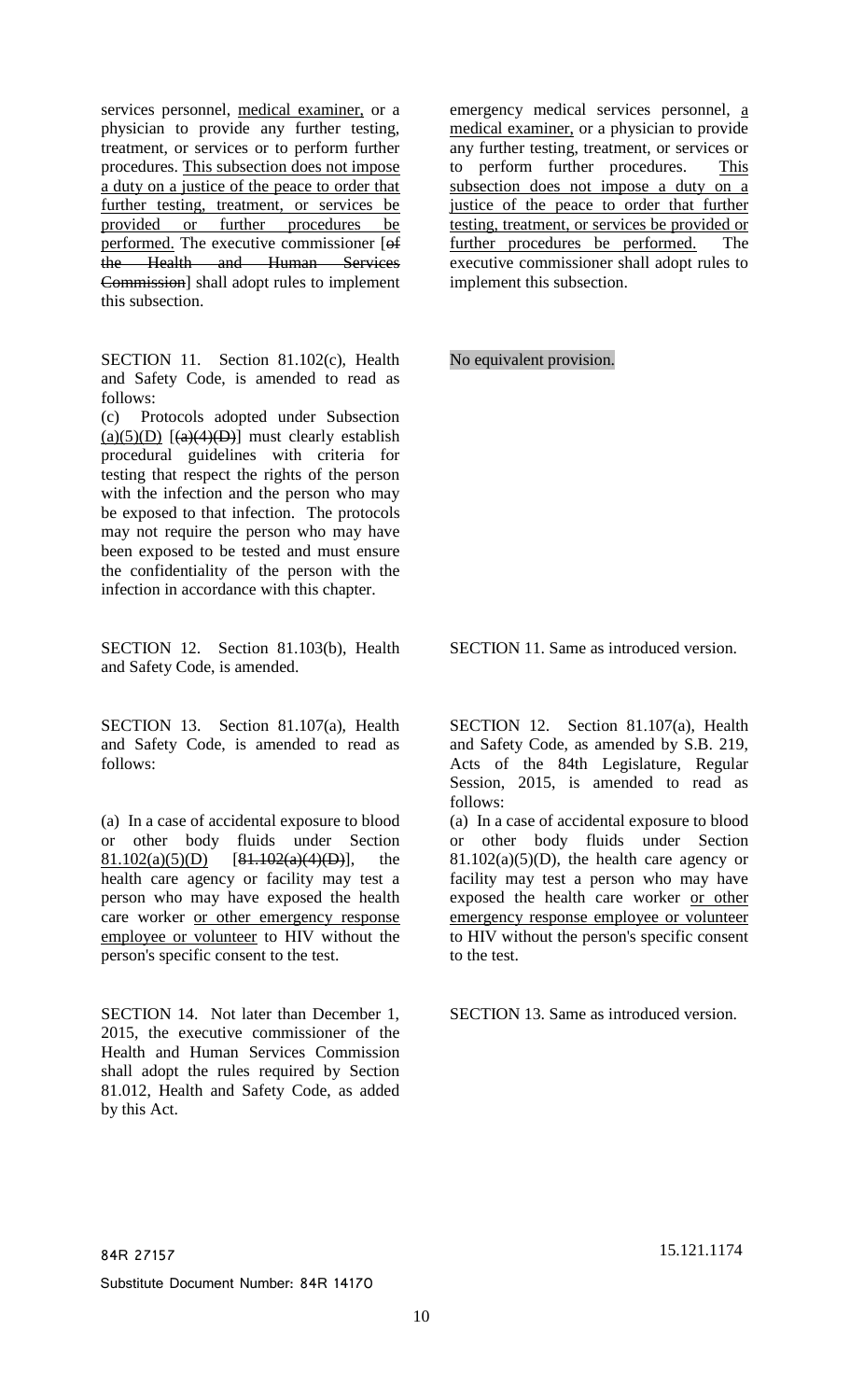person's specific consent to the test.

services personnel, medical examiner, or a physician to provide any further testing, treatment, or services or to perform further procedures. This subsection does not impose a duty on a justice of the peace to order that further testing, treatment, or services be provided or further procedures be performed. The executive commissioner [of the Health and Human Services Commission] shall adopt rules to implement

SECTION 11. Section 81.102(c), Health and Safety Code, is amended to read as

(c) Protocols adopted under Subsection (a)(5)(D)  $\left[\frac{a(4)}{D}\right]$  must clearly establish procedural guidelines with criteria for testing that respect the rights of the person with the infection and the person who may be exposed to that infection. The protocols may not require the person who may have been exposed to be tested and must ensure the confidentiality of the person with the infection in accordance with this chapter.

SECTION 12. Section 81.103(b), Health

SECTION 13. Section 81.107(a), Health and Safety Code, is amended to read as

(a) In a case of accidental exposure to blood or other body fluids under Section  $81.102(a)(5)(D)$  [81.102(a)(4)(D)], the health care agency or facility may test a person who may have exposed the health care worker or other emergency response employee or volunteer to HIV without the

SECTION 14. Not later than December 1, 2015, the executive commissioner of the Health and Human Services Commission shall adopt the rules required by Section 81.012, Health and Safety Code, as added

and Safety Code, is amended.

this subsection.

follows:

follows:

by this Act.

Substitute Document Number: 84R 14170

emergency medical services personnel, a medical examiner, or a physician to provide any further testing, treatment, or services or to perform further procedures. This subsection does not impose a duty on a justice of the peace to order that further testing, treatment, or services be provided or further procedures be performed. The executive commissioner shall adopt rules to implement this subsection.

No equivalent provision.

SECTION 11. Same as introduced version.

SECTION 12. Section 81.107(a), Health and Safety Code, as amended by S.B. 219, Acts of the 84th Legislature, Regular Session, 2015, is amended to read as follows:

(a) In a case of accidental exposure to blood or other body fluids under Section  $81.102(a)(5)(D)$ , the health care agency or facility may test a person who may have exposed the health care worker or other emergency response employee or volunteer to HIV without the person's specific consent to the test.

SECTION 13. Same as introduced version.